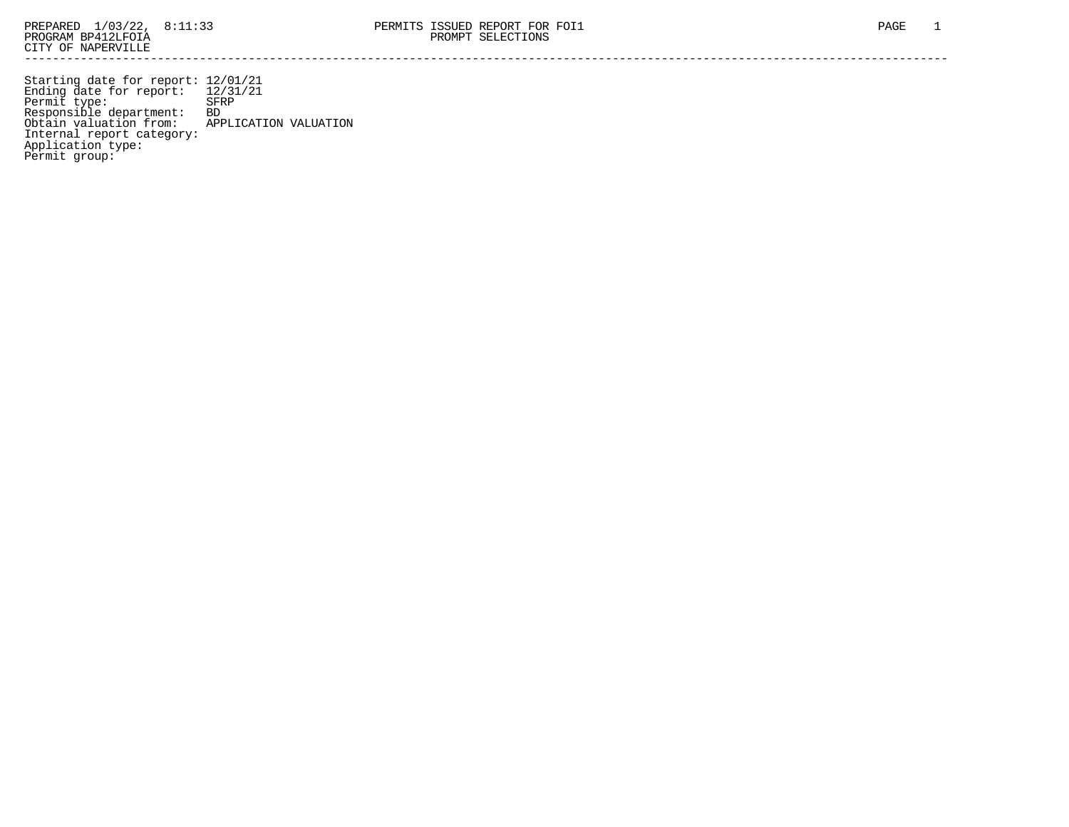Permit group:

------------------------------------------------------------------------------------------------------------------------------------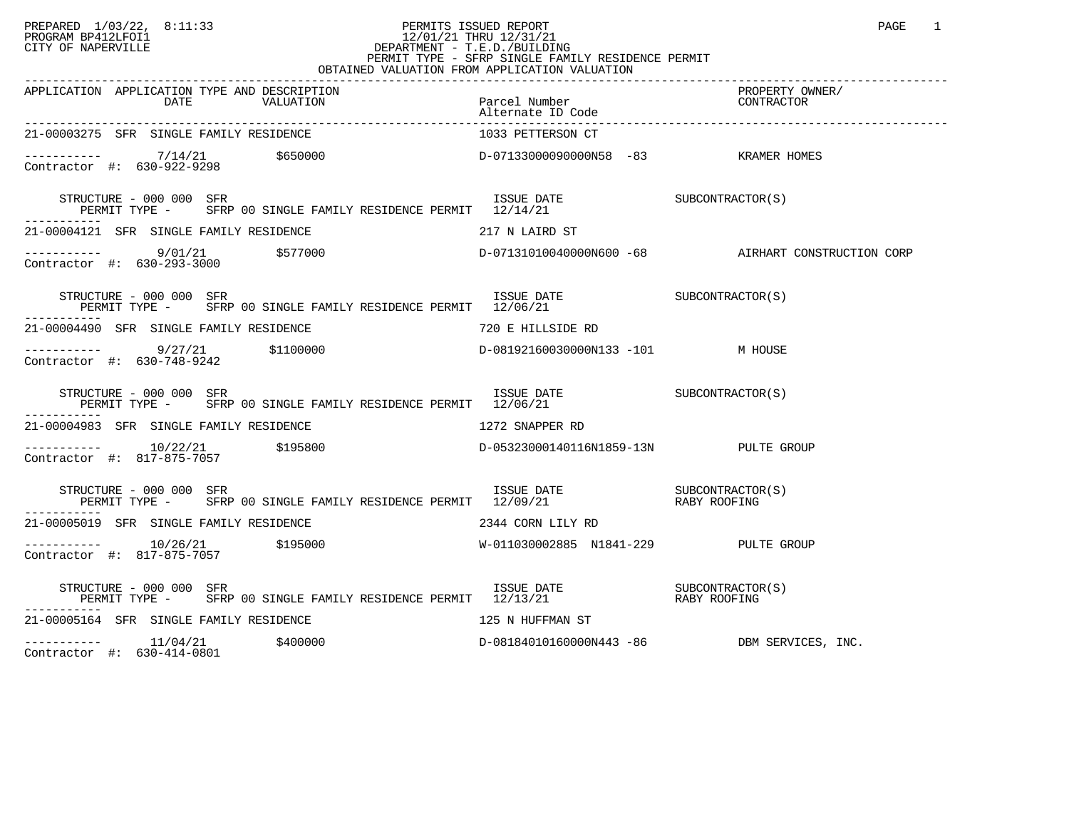## PREPARED 1/03/22, 8:11:33 PERMITS ISSUED REPORT<br>PROGRAM BP412LFOI1 PAGE 1 PROGRAM BP412LFOI1 12/01/21 THRU 12/31/21 CITY OF NAPERVILLE **Example 20** CITY OF NAPERVILLE PERMIT TYPE - SFRP SINGLE FAMILY RESIDENCE PERMIT OBTAINED VALUATION FROM APPLICATION VALUATION

| APPLICATION APPLICATION TYPE AND DESCRIPTION                                                                                       | Parcel Number<br>Alternate ID Code<br>----------- | PROPERTY OWNER/<br>PRUPERII UW<br>CONTRACTOR |
|------------------------------------------------------------------------------------------------------------------------------------|---------------------------------------------------|----------------------------------------------|
| 21-00003275 SFR SINGLE FAMILY RESIDENCE                                                                                            | 1033 PETTERSON CT                                 |                                              |
|                                                                                                                                    |                                                   |                                              |
| STRUCTURE - 000 000 SFR<br>PERMIT TYPE - SFRP 00 SINGLE FAMILY RESIDENCE PERMIT 12/14/21                                           | ISSUE DATE SUBCONTRACTOR(S)                       |                                              |
| 21-00004121 SFR SINGLE FAMILY RESIDENCE THE SERIES OF THE 217 N LAIRD ST                                                           |                                                   |                                              |
|                                                                                                                                    |                                                   |                                              |
| TSSUE DATE<br>PERMIT TYPE - SFRP 00 SINGLE FAMILY RESIDENCE PERMIT 12/06/21<br>----<br>STRUCTURE - 000 000 SFR                     |                                                   |                                              |
| 21-00004490 SFR SINGLE FAMILY RESIDENCE THE STRAIN STRAIN TO B HILLSIDE RD                                                         |                                                   |                                              |
| Contractor #: 630-748-9242                                                                                                         |                                                   |                                              |
| STRUCTURE - 000 000 SFR<br>PERMIT TYPE - SFRP 00 SINGLE FAMILY RESIDENCE PERMIT 12/06/21<br>-----------                            | ISSUE DATE SUBCONTRACTOR(S)                       |                                              |
| 21-00004983 SFR SINGLE FAMILY RESIDENCE                                                                                            | 1272 SNAPPER RD                                   |                                              |
| -----------    10/22/21      \$195800             D-05323000140116N1859-13N       PULTE GROUP<br>Contractor #: 817-875-7057        |                                                   |                                              |
| STRUCTURE – 000 000 SFR<br>PERMIT TYPE – SFRP 00 SINGLE FAMILY RESIDENCE PERMIT 12/09/21 – RABY ROOFING                            |                                                   |                                              |
| 21-00005019 SFR SINGLE FAMILY RESIDENCE THE SERIES OF 2344 CORN LILY RD                                                            |                                                   |                                              |
| Contractor #: 817-875-7057                                                                                                         |                                                   |                                              |
| STRUCTURE – 000 000 SFR<br>PERMIT TYPE – SFRP 00 SINGLE FAMILY RESIDENCE PERMIT 12/13/21 – RABY ROOFING<br>STRUCTURE - 000 000 SFR |                                                   |                                              |
| 21-00005164 SFR SINGLE FAMILY RESIDENCE                                                                                            | 125 N HUFFMAN ST                                  |                                              |
| 11/04/21<br>\$400000<br>-----------                                                                                                | D-08184010160000N443 -86 DBM SERVICES, INC.       |                                              |

Contractor #: 630-414-0801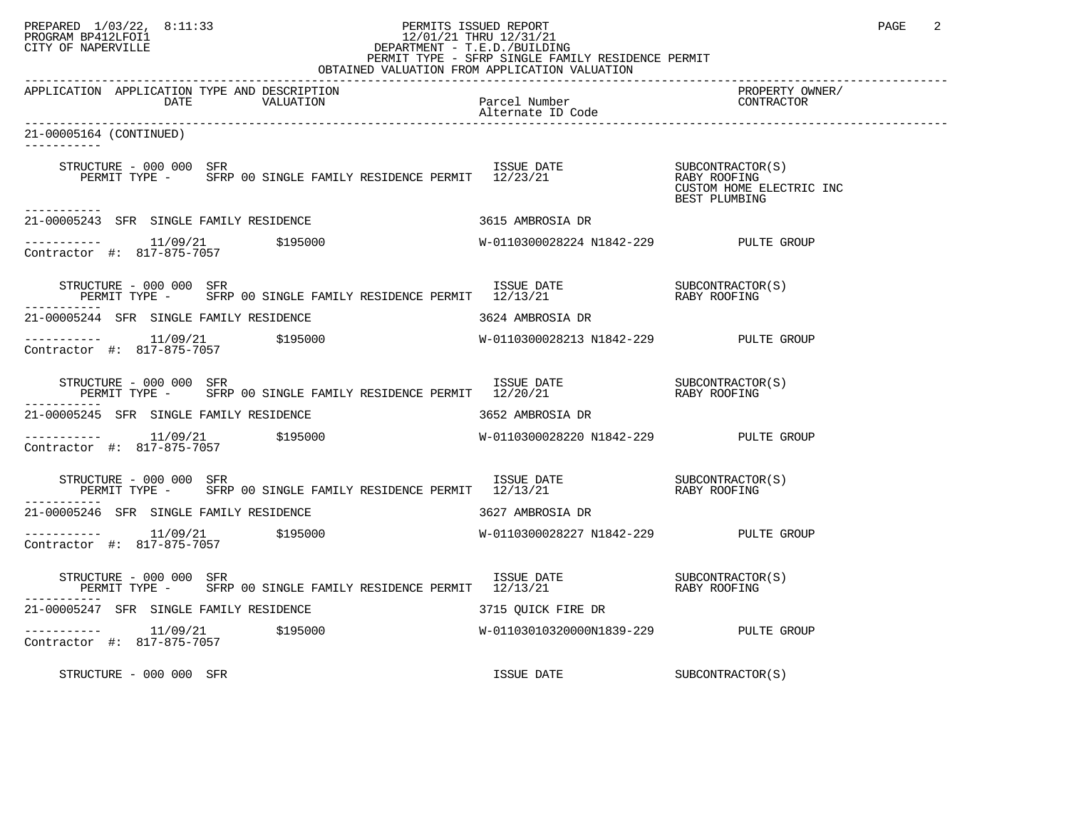## PREPARED 1/03/22, 8:11:33 PERMITS ISSUED REPORT PAGE 2 PROGRAM BP412LFOI1 12/01/21 THRU 12/31/21 CITY OF NAPERVILLE **Example 20** CITY OF NAPERVILLE PERMIT TYPE - SFRP SINGLE FAMILY RESIDENCE PERMIT

| OBTAINED VALUATION FROM APPLICATION VALUATION                                                                                                                                                                                   |                                       |                                           |  |  |
|---------------------------------------------------------------------------------------------------------------------------------------------------------------------------------------------------------------------------------|---------------------------------------|-------------------------------------------|--|--|
| APPLICATION APPLICATION TYPE AND DESCRIPTION<br>VALUATION Parcel Number<br>alternate ID Code<br>DATE                                                                                                                            | Alternate ID Code                     | PROPERTY OWNER/<br>CONTRACTOR             |  |  |
| 21-00005164 (CONTINUED)<br>----------                                                                                                                                                                                           |                                       |                                           |  |  |
| $\begin{tabular}{lllllllll} \texttt{STRUCTURE} & 000 000 & SFR & 1SSUE & DATE & 000 & SFR \\ \texttt{PERMIT TYPE} & - & SFRP & 00 SINGLE FAMILY RESIDENCE PERMIT & 12/23/21 & 0 & RABY ROOFING \\ \end{tabular}$<br>----------- |                                       | CUSTOM HOME ELECTRIC INC<br>BEST PLUMBING |  |  |
| 21-00005243 SFR SINGLE FAMILY RESIDENCE                                                                                                                                                                                         | 3615 AMBROSIA DR                      |                                           |  |  |
| $---------$ 11/09/21 \$195000<br>Contractor #: 817-875-7057                                                                                                                                                                     | W-0110300028224 N1842-229 PULTE GROUP |                                           |  |  |
| STRUCTURE - 000 000 SFR                                                                                                                                                                                                         |                                       |                                           |  |  |
| 21-00005244 SFR SINGLE FAMILY RESIDENCE                                                                                                                                                                                         | 3624 AMBROSIA DR                      |                                           |  |  |
| $\begin{tabular}{ll} \texttt{----------} & 11/09/21 & \texttt{\$195000} \\ \texttt{Contractor} & \texttt{#:} & 817-875-7057 \\ \end{tabular}$                                                                                   | W-0110300028213 N1842-229 PULTE GROUP |                                           |  |  |
| STRUCTURE – 000 000 SFR<br>PERMIT TYPE – SFRP 00 SINGLE FAMILY RESIDENCE PERMIT 12/20/21 – RABY ROOFING                                                                                                                         |                                       |                                           |  |  |
| 21-00005245 SFR SINGLE FAMILY RESIDENCE                                                                                                                                                                                         | 3652 AMBROSIA DR                      |                                           |  |  |
| $\begin{tabular}{ll} \texttt{----------} & 11/09/21 & \texttt{\$195000} \\ \texttt{Contractor} & \texttt{#:} & 817-875-7057 \\ \end{tabular}$                                                                                   | W-0110300028220 N1842-229 PULTE GROUP |                                           |  |  |
|                                                                                                                                                                                                                                 |                                       |                                           |  |  |
| 21-00005246 SFR SINGLE FAMILY RESIDENCE<br>3627 AMBROSIA DR                                                                                                                                                                     |                                       |                                           |  |  |
| Contractor #: 817-875-7057                                                                                                                                                                                                      | W-0110300028227 N1842-229 PULTE GROUP |                                           |  |  |
| STRUCTURE – 000 000 SFR<br>PERMIT TYPE – SFRP 00 SINGLE FAMILY RESIDENCE PERMIT 12/13/21 – RABY ROOFING                                                                                                                         |                                       |                                           |  |  |
| 21-00005247 SFR SINGLE FAMILY RESIDENCE<br>3715 OUICK FIRE DR                                                                                                                                                                   |                                       |                                           |  |  |
| $---------$ 11/09/21 \$195000<br>Contractor #: 817-875-7057                                                                                                                                                                     | W-01103010320000N1839-229 PULTE GROUP |                                           |  |  |
| STRUCTURE - 000 000 SFR                                                                                                                                                                                                         | ISSUE DATE                            | SUBCONTRACTOR(S)                          |  |  |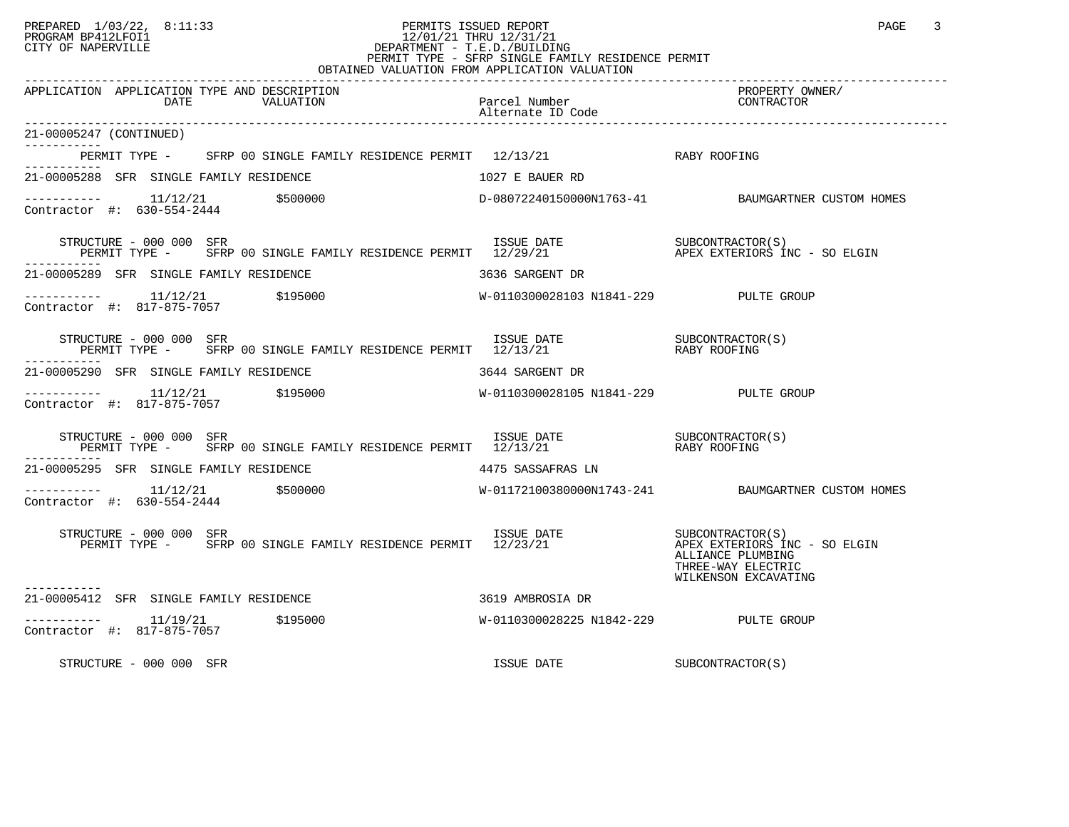## PREPARED 1/03/22, 8:11:33 PERMITS ISSUED REPORT PAGE 3 PROGRAM BP412LFOI1 12/01/21 THRU 12/31/21 CITY OF NAPERVILLE **Example 20** CITY OF NAPERVILLE PERMIT TYPE - SFRP SINGLE FAMILY RESIDENCE PERMIT

| OBTAINED VALUATION FROM APPLICATION VALUATION                                                                                                                                                                                                                                                                                                                                                                                                                                                                                               |                                       |                                                                 |  |  |
|---------------------------------------------------------------------------------------------------------------------------------------------------------------------------------------------------------------------------------------------------------------------------------------------------------------------------------------------------------------------------------------------------------------------------------------------------------------------------------------------------------------------------------------------|---------------------------------------|-----------------------------------------------------------------|--|--|
| APPLICATION APPLICATION TYPE AND DESCRIPTION<br>DATE<br>VALUATION                                                                                                                                                                                                                                                                                                                                                                                                                                                                           | Parcel Number<br>Alternate ID Code    | PROPERTY OWNER/<br>CONTRACTOR                                   |  |  |
| 21-00005247 (CONTINUED)                                                                                                                                                                                                                                                                                                                                                                                                                                                                                                                     |                                       |                                                                 |  |  |
| PERMIT TYPE - SFRP 00 SINGLE FAMILY RESIDENCE PERMIT 12/13/21 RABY ROOFING                                                                                                                                                                                                                                                                                                                                                                                                                                                                  |                                       |                                                                 |  |  |
| 21-00005288 SFR SINGLE FAMILY RESIDENCE                                                                                                                                                                                                                                                                                                                                                                                                                                                                                                     | 1027 E BAUER RD                       |                                                                 |  |  |
| $\begin{tabular}{l} \texttt{-----} \texttt{-----} \texttt{-----} \end{tabular} \begin{tabular}{l} \texttt{-----} \texttt{-----} \end{tabular} \begin{tabular}{l} \texttt{-----} \texttt{-----} \end{tabular} \end{tabular} \begin{tabular}{l} \texttt{---} \texttt{-----} \end{tabular} \begin{tabular}{l} \texttt{---} \texttt{-----} \end{tabular} \end{tabular} \begin{tabular}{l} \texttt{---} \texttt{-----} \end{tabular} \begin{tabular}{l} \texttt{---} \texttt{-----} \end{tabular} \end{tabular} \begin{tabular}{l} \texttt{---}$ |                                       |                                                                 |  |  |
| STRUCTURE - 000 000 SFR<br>RUCTURE – 000 000 SFR                                   ISSUE DATE           SUBCONTRACTOR(S)<br>PERMIT TYPE –   SFRP 00 SINGLE FAMILY RESIDENCE PERMIT 12/29/21             APEX EXTERIORS INC – SO ELGIN                                                                                                                                                                                                                                                                                                       |                                       |                                                                 |  |  |
| 21-00005289 SFR SINGLE FAMILY RESIDENCE                                                                                                                                                                                                                                                                                                                                                                                                                                                                                                     | 3636 SARGENT DR                       |                                                                 |  |  |
|                                                                                                                                                                                                                                                                                                                                                                                                                                                                                                                                             |                                       |                                                                 |  |  |
| STRUCTURE – 000 000 SFR<br>PERMIT TYPE – SFRP 00 SINGLE FAMILY RESIDENCE PERMIT 12/13/21 – RABY ROOFING                                                                                                                                                                                                                                                                                                                                                                                                                                     |                                       |                                                                 |  |  |
| 21-00005290 SFR SINGLE FAMILY RESIDENCE                                                                                                                                                                                                                                                                                                                                                                                                                                                                                                     | 3644 SARGENT DR                       |                                                                 |  |  |
| ----------- 11/12/21 \$195000<br>Contractor #: 817-875-7057 \$195000<br>Contractor #: 817-875-7057 \$195000<br>Super-                                                                                                                                                                                                                                                                                                                                                                                                                       |                                       |                                                                 |  |  |
| STRUCTURE – 000 000 SFR<br>PERMIT TYPE – SFRP 00 SINGLE FAMILY RESIDENCE PERMIT 12/13/21 – RABY ROOFING                                                                                                                                                                                                                                                                                                                                                                                                                                     |                                       |                                                                 |  |  |
| 21-00005295 SFR SINGLE FAMILY RESIDENCE 4475 SASSAFRAS LN                                                                                                                                                                                                                                                                                                                                                                                                                                                                                   |                                       |                                                                 |  |  |
|                                                                                                                                                                                                                                                                                                                                                                                                                                                                                                                                             |                                       |                                                                 |  |  |
| STRUCTURE - 000 000 SFR<br>PERMIT TYPE - SFRP 00 SINGLE FAMILY RESIDENCE PERMIT 12/23/21 APEX EXTERIORS INC - SO ELGIN<br>STRUCTURE - 000 000 SFR                                                                                                                                                                                                                                                                                                                                                                                           |                                       | ALLIANCE PLUMBING<br>THREE-WAY ELECTRIC<br>WILKENSON EXCAVATING |  |  |
| 21-00005412 SFR SINGLE FAMILY RESIDENCE                                                                                                                                                                                                                                                                                                                                                                                                                                                                                                     | 3619 AMBROSIA DR                      |                                                                 |  |  |
| ----------- 11/19/21 \$195000<br>Contractor #: 817-875-7057                                                                                                                                                                                                                                                                                                                                                                                                                                                                                 | W-0110300028225 N1842-229 PULTE GROUP |                                                                 |  |  |
| STRUCTURE - 000 000 SFR                                                                                                                                                                                                                                                                                                                                                                                                                                                                                                                     | ISSUE DATE                            | SUBCONTRACTOR(S)                                                |  |  |